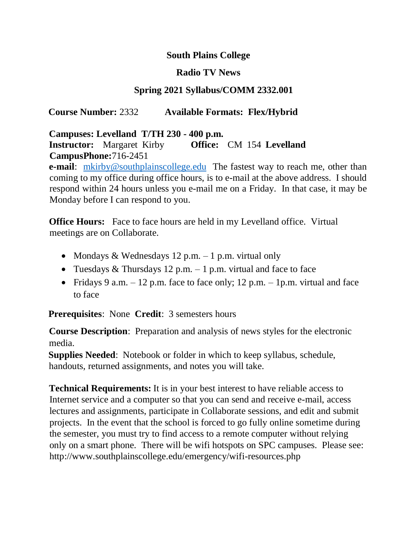### **South Plains College**

#### **Radio TV News**

### **Spring 2021 Syllabus/COMM 2332.001**

#### **Course Number:** 2332 **Available Formats: Flex/Hybrid**

#### **Campuses: Levelland T/TH 230 - 400 p.m.**

#### **Instructor:** Margaret Kirby **Office:** CM 154 **Levelland CampusPhone:**716-2451

**e-mail**: mkirby@southplainscollege.edu The fastest way to reach me, other than coming to my office during office hours, is to e-mail at the above address. I should respond within 24 hours unless you e-mail me on a Friday. In that case, it may be Monday before I can respond to you.

**Office Hours:** Face to face hours are held in my Levelland office. Virtual meetings are on Collaborate.

- Mondays & Wednesdays 12 p.m.  $-1$  p.m. virtual only
- Tuesdays & Thursdays 12 p.m.  $-1$  p.m. virtual and face to face
- Fridays 9 a.m.  $-12$  p.m. face to face only; 12 p.m.  $-1$  p.m. virtual and face to face

**Prerequisites**: None **Credit**: 3 semesters hours

**Course Description**: Preparation and analysis of news styles for the electronic media.

**Supplies Needed**: Notebook or folder in which to keep syllabus, schedule, handouts, returned assignments, and notes you will take.

**Technical Requirements:** It is in your best interest to have reliable access to Internet service and a computer so that you can send and receive e-mail, access lectures and assignments, participate in Collaborate sessions, and edit and submit projects. In the event that the school is forced to go fully online sometime during the semester, you must try to find access to a remote computer without relying only on a smart phone. There will be wifi hotspots on SPC campuses. Please see: http://www.southplainscollege.edu/emergency/wifi-resources.php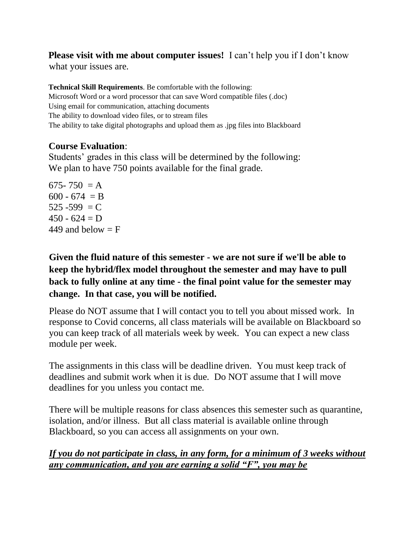## **Please visit with me about computer issues!** I can't help you if I don't know

what your issues are.

**Technical Skill Requirements**. Be comfortable with the following: Microsoft Word or a word processor that can save Word compatible files (.doc) Using email for communication, attaching documents The ability to download video files, or to stream files The ability to take digital photographs and upload them as .jpg files into Blackboard

#### **Course Evaluation**:

Students' grades in this class will be determined by the following: We plan to have 750 points available for the final grade.

675-750  $= A$  $600 - 674 = B$  $525 - 599 = C$  $450 - 624 = D$ 449 and below  $=$  F

# **Given the fluid nature of this semester - we are not sure if we'll be able to keep the hybrid/flex model throughout the semester and may have to pull back to fully online at any time - the final point value for the semester may change. In that case, you will be notified.**

Please do NOT assume that I will contact you to tell you about missed work. In response to Covid concerns, all class materials will be available on Blackboard so you can keep track of all materials week by week. You can expect a new class module per week.

The assignments in this class will be deadline driven. You must keep track of deadlines and submit work when it is due. Do NOT assume that I will move deadlines for you unless you contact me.

There will be multiple reasons for class absences this semester such as quarantine, isolation, and/or illness. But all class material is available online through Blackboard, so you can access all assignments on your own.

## *If you do not participate in class, in any form, for a minimum of 3 weeks without any communication, and you are earning a solid "F", you may be*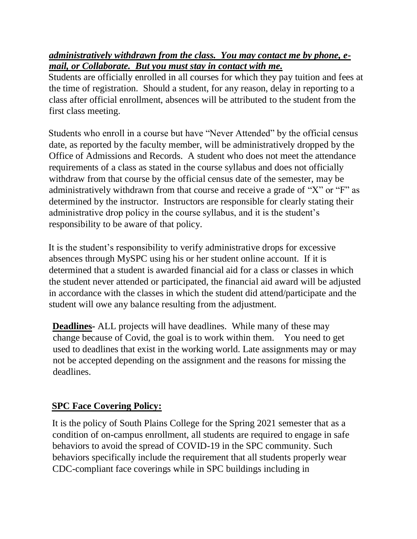*administratively withdrawn from the class. You may contact me by phone, email, or Collaborate. But you must stay in contact with me.*

Students are officially enrolled in all courses for which they pay tuition and fees at the time of registration. Should a student, for any reason, delay in reporting to a class after official enrollment, absences will be attributed to the student from the first class meeting.

Students who enroll in a course but have "Never Attended" by the official census date, as reported by the faculty member, will be administratively dropped by the Office of Admissions and Records. A student who does not meet the attendance requirements of a class as stated in the course syllabus and does not officially withdraw from that course by the official census date of the semester, may be administratively withdrawn from that course and receive a grade of "X" or "F" as determined by the instructor. Instructors are responsible for clearly stating their administrative drop policy in the course syllabus, and it is the student's responsibility to be aware of that policy.

It is the student's responsibility to verify administrative drops for excessive absences through MySPC using his or her student online account. If it is determined that a student is awarded financial aid for a class or classes in which the student never attended or participated, the financial aid award will be adjusted in accordance with the classes in which the student did attend/participate and the student will owe any balance resulting from the adjustment.

**Deadlines-** ALL projects will have deadlines. While many of these may change because of Covid, the goal is to work within them. You need to get used to deadlines that exist in the working world. Late assignments may or may not be accepted depending on the assignment and the reasons for missing the deadlines.

## **SPC Face Covering Policy:**

It is the policy of South Plains College for the Spring 2021 semester that as a condition of on-campus enrollment, all students are required to engage in safe behaviors to avoid the spread of COVID-19 in the SPC community. Such behaviors specifically include the requirement that all students properly wear CDC-compliant face coverings while in SPC buildings including in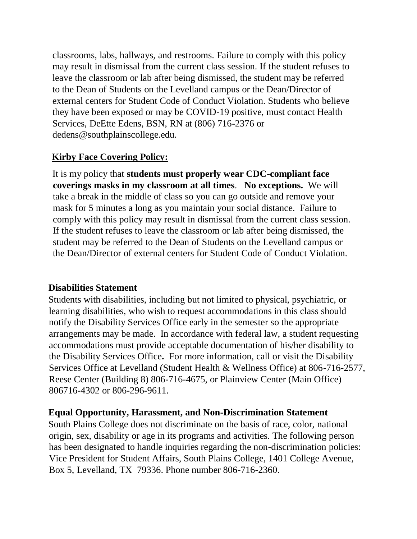classrooms, labs, hallways, and restrooms. Failure to comply with this policy may result in dismissal from the current class session. If the student refuses to leave the classroom or lab after being dismissed, the student may be referred to the Dean of Students on the Levelland campus or the Dean/Director of external centers for Student Code of Conduct Violation. Students who believe they have been exposed or may be COVID-19 positive, must contact Health Services, DeEtte Edens, BSN, RN at (806) 716-2376 or dedens@southplainscollege.edu.

## **Kirby Face Covering Policy:**

It is my policy that **students must properly wear CDC-compliant face coverings masks in my classroom at all times**. **No exceptions.** We will take a break in the middle of class so you can go outside and remove your mask for 5 minutes a long as you maintain your social distance. Failure to comply with this policy may result in dismissal from the current class session. If the student refuses to leave the classroom or lab after being dismissed, the student may be referred to the Dean of Students on the Levelland campus or the Dean/Director of external centers for Student Code of Conduct Violation.

## **Disabilities Statement**

Students with disabilities, including but not limited to physical, psychiatric, or learning disabilities, who wish to request accommodations in this class should notify the Disability Services Office early in the semester so the appropriate arrangements may be made. In accordance with federal law, a student requesting accommodations must provide acceptable documentation of his/her disability to the Disability Services Office**.** For more information, call or visit the Disability Services Office at Levelland (Student Health & Wellness Office) at 806-716-2577, Reese Center (Building 8) 806-716-4675, or Plainview Center (Main Office) 806716-4302 or 806-296-9611.

## **Equal Opportunity, Harassment, and Non-Discrimination Statement**

South Plains College does not discriminate on the basis of race, color, national origin, sex, disability or age in its programs and activities. The following person has been designated to handle inquiries regarding the non-discrimination policies: Vice President for Student Affairs, South Plains College, 1401 College Avenue, Box 5, Levelland, TX 79336. Phone number 806-716-2360.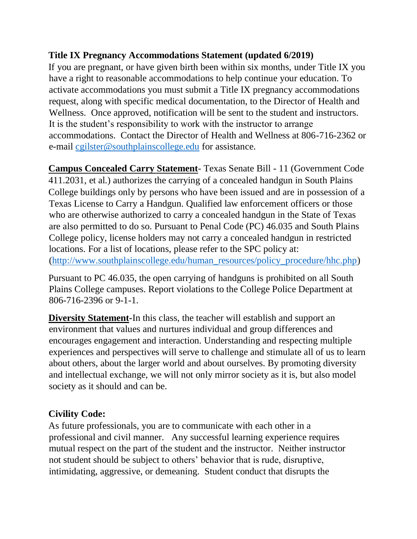## **Title IX Pregnancy Accommodations Statement (updated 6/2019)**

If you are pregnant, or have given birth been within six months, under Title IX you have a right to reasonable accommodations to help continue your education. To activate accommodations you must submit a Title IX pregnancy accommodations request, along with specific medical documentation, to the Director of Health and Wellness. Once approved, notification will be sent to the student and instructors. It is the student's responsibility to work with the instructor to arrange accommodations. Contact the Director of Health and Wellness at 806-716-2362 or e-mail cgilster@southplainscollege.edu for assistance.

**Campus Concealed Carry Statement**- Texas Senate Bill - 11 (Government Code 411.2031, et al.) authorizes the carrying of a concealed handgun in South Plains College buildings only by persons who have been issued and are in possession of a Texas License to Carry a Handgun. Qualified law enforcement officers or those who are otherwise authorized to carry a concealed handgun in the State of Texas are also permitted to do so. Pursuant to Penal Code (PC) 46.035 and South Plains College policy, license holders may not carry a concealed handgun in restricted locations. For a list of locations, please refer to the SPC policy at: [\(http://www.southplainscollege.edu/human\\_resources/policy\\_procedure/hhc.php\)](http://www.southplainscollege.edu/human_resources/policy_procedure/hhc.php)

Pursuant to PC 46.035, the open carrying of handguns is prohibited on all South Plains College campuses. Report violations to the College Police Department at 806-716-2396 or 9-1-1.

**Diversity Statement-**In this class, the teacher will establish and support an environment that values and nurtures individual and group differences and encourages engagement and interaction. Understanding and respecting multiple experiences and perspectives will serve to challenge and stimulate all of us to learn about others, about the larger world and about ourselves. By promoting diversity and intellectual exchange, we will not only mirror society as it is, but also model society as it should and can be.

## **Civility Code:**

As future professionals, you are to communicate with each other in a professional and civil manner. Any successful learning experience requires mutual respect on the part of the student and the instructor. Neither instructor not student should be subject to others' behavior that is rude, disruptive, intimidating, aggressive, or demeaning. Student conduct that disrupts the